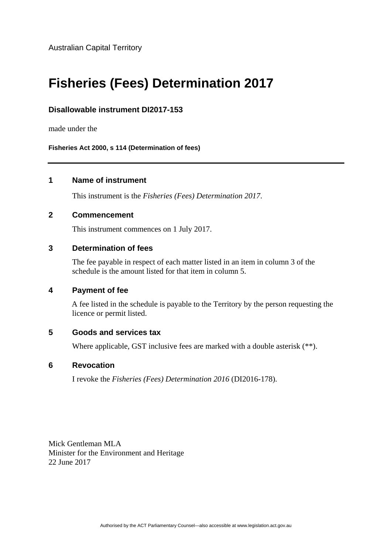Australian Capital Territory

# **Fisheries (Fees) Determination 2017**

## **Disallowable instrument DI2017-153**

made under the

**Fisheries Act 2000, s 114 (Determination of fees)** 

#### **1 Name of instrument**

This instrument is the *Fisheries (Fees) Determination 2017*.

### **2 Commencement**

This instrument commences on 1 July 2017.

#### **3 Determination of fees**

The fee payable in respect of each matter listed in an item in column 3 of the schedule is the amount listed for that item in column 5.

#### **4 Payment of fee**

A fee listed in the schedule is payable to the Territory by the person requesting the licence or permit listed.

#### **5 Goods and services tax**

Where applicable, GST inclusive fees are marked with a double asterisk (\*\*).

#### **6 Revocation**

I revoke the *Fisheries (Fees) Determination 2016* (DI2016-178).

Mick Gentleman MLA Minister for the Environment and Heritage 22 June 2017